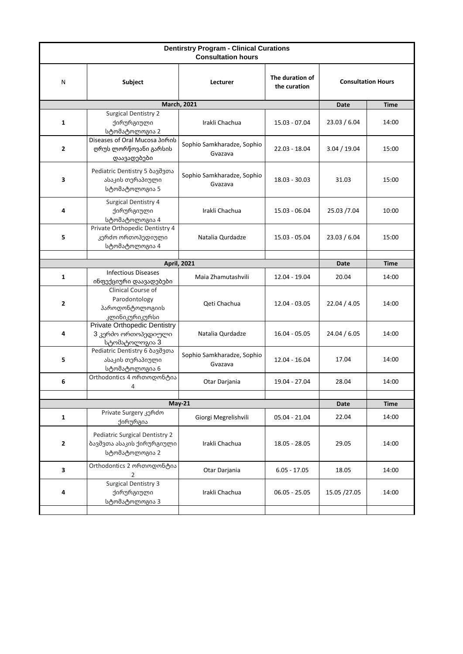| <b>Dentirstry Program - Clinical Curations</b><br><b>Consultation hours</b> |                                                                                                    |                                       |                                 |                           |             |  |  |  |
|-----------------------------------------------------------------------------|----------------------------------------------------------------------------------------------------|---------------------------------------|---------------------------------|---------------------------|-------------|--|--|--|
| N                                                                           | Subject                                                                                            | Lecturer                              | The duration of<br>the curation | <b>Consultation Hours</b> |             |  |  |  |
|                                                                             | <b>March, 2021</b>                                                                                 |                                       | <b>Date</b>                     | <b>Time</b>               |             |  |  |  |
| 1                                                                           | <b>Surgical Dentistry 2</b><br>ქირურგიული<br>სტომატოლოგია 2                                        | Irakli Chachua                        | 15.03 - 07.04                   | 23.03 / 6.04              | 14:00       |  |  |  |
| $\overline{2}$                                                              | Diseases of Oral Mucosa 30mob<br>ღრუს ლორწოვანი გარსის<br>დაავადებები                              | Sophio Samkharadze, Sophio<br>Gvazava | 22.03 - 18.04                   | 3.04 / 19.04              | 15:00       |  |  |  |
| 3                                                                           | Pediatric Dentistry 5 ბავშვთა<br>ასაკის თერაპიული<br>სტომატოლოგია 5                                | Sophio Samkharadze, Sophio<br>Gvazava | 18.03 - 30.03                   | 31.03                     | 15:00       |  |  |  |
| 4                                                                           | Surgical Dentistry 4<br>ქირურგიული<br>სტომატოლოგია 4                                               | Irakli Chachua                        | $15.03 - 06.04$                 | 25.03 /7.04               | 10:00       |  |  |  |
| 5                                                                           | Private Orthopedic Dentistry 4<br>კერძო ორთოპედიული<br>სტომატოლოგია 4                              | Natalia Qurdadze                      | 15.03 - 05.04                   | 23.03 / 6.04              | 15:00       |  |  |  |
|                                                                             |                                                                                                    |                                       |                                 |                           |             |  |  |  |
|                                                                             |                                                                                                    | <b>April, 2021</b>                    |                                 | Date                      | <b>Time</b> |  |  |  |
| 1                                                                           | <b>Infectious Diseases</b>                                                                         | Maia Zhamutashvili                    | 12.04 - 19.04                   | 20.04                     | 14:00       |  |  |  |
| 2                                                                           | ინფექციური დაავადებები<br>Clinical Course of<br>Parodontology<br>პაროდონტოლოგიის<br>კლინიკურიკურსი | Qeti Chachua                          | 12.04 - 03.05                   | 22.04 / 4.05              | 14:00       |  |  |  |
| 4                                                                           | Private Orthopedic Dentistry<br>3 კერძო ორთოპედიული<br>სტომატოლოგია 3                              | Natalia Qurdadze                      | 16.04 - 05.05                   | 24.04 / 6.05              | 14:00       |  |  |  |
| 5                                                                           | Pediatric Dentistry 6 ბავშვთა<br>ასაკის თერაპიული<br>სტომატოლოგია 6                                | Sophio Samkharadze, Sophio<br>Gvazava | 12.04 - 16.04                   | 17.04                     | 14:00       |  |  |  |
| 6                                                                           | Orthodontics 4 ორთოდონტია<br>4                                                                     | Otar Darjania                         | 19.04 - 27.04                   | 28.04                     | 14:00       |  |  |  |
| $May-21$                                                                    |                                                                                                    |                                       |                                 |                           | <b>Time</b> |  |  |  |
|                                                                             | Private Surgery კერძო                                                                              |                                       |                                 | Date                      |             |  |  |  |
| $\mathbf 1$                                                                 | ქირურგია                                                                                           | Giorgi Megrelishvili                  | 05.04 - 21.04                   | 22.04                     | 14:00       |  |  |  |
| $\overline{2}$                                                              | Pediatric Surgical Dentistry 2<br>ბავშვთა ასაკის ქირურგიული<br>სტომატოლოგია 2                      | Irakli Chachua                        | 18.05 - 28.05                   | 29.05                     | 14:00       |  |  |  |
| 3                                                                           | Orthodontics 2 ორთოდონტია<br>2                                                                     | Otar Darjania                         | 6.05 - 17.05                    | 18.05                     | 14:00       |  |  |  |
| 4                                                                           | <b>Surgical Dentistry 3</b><br>ქირურგიული<br>სტომატოლოგია 3                                        | Irakli Chachua                        | $06.05 - 25.05$                 | 15.05 /27.05              | 14:00       |  |  |  |